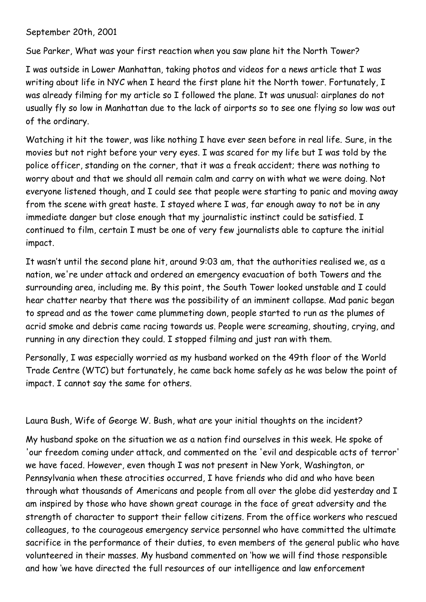September 20th, 2001

Sue Parker, What was your first reaction when you saw plane hit the North Tower?

I was outside in Lower Manhattan, taking photos and videos for a news article that I was writing about life in NYC when I heard the first plane hit the North tower. Fortunately, I was already filming for my article so I followed the plane. It was unusual: airplanes do not usually fly so low in Manhattan due to the lack of airports so to see one flying so low was out of the ordinary.

Watching it hit the tower, was like nothing I have ever seen before in real life. Sure, in the movies but not right before your very eyes. I was scared for my life but I was told by the police officer, standing on the corner, that it was a freak accident; there was nothing to worry about and that we should all remain calm and carry on with what we were doing. Not everyone listened though, and I could see that people were starting to panic and moving away from the scene with great haste. I stayed where I was, far enough away to not be in any immediate danger but close enough that my journalistic instinct could be satisfied. I continued to film, certain I must be one of very few journalists able to capture the initial impact.

It wasn't until the second plane hit, around 9:03 am, that the authorities realised we, as a nation, we're under attack and ordered an emergency evacuation of both Towers and the surrounding area, including me. By this point, the South Tower looked unstable and I could hear chatter nearby that there was the possibility of an imminent collapse. Mad panic began to spread and as the tower came plummeting down, people started to run as the plumes of acrid smoke and debris came racing towards us. People were screaming, shouting, crying, and running in any direction they could. I stopped filming and just ran with them.

Personally, I was especially worried as my husband worked on the 49th floor of the World Trade Centre (WTC) but fortunately, he came back home safely as he was below the point of impact. I cannot say the same for others.

Laura Bush, Wife of George W. Bush, what are your initial thoughts on the incident?

My husband spoke on the situation we as a nation find ourselves in this week. He spoke of 'our freedom coming under attack, and commented on the 'evil and despicable acts of terror' we have faced. However, even though I was not present in New York, Washington, or Pennsylvania when these atrocities occurred, I have friends who did and who have been through what thousands of Americans and people from all over the globe did yesterday and I am inspired by those who have shown great courage in the face of great adversity and the strength of character to support their fellow citizens. From the office workers who rescued colleagues, to the courageous emergency service personnel who have committed the ultimate sacrifice in the performance of their duties, to even members of the general public who have volunteered in their masses. My husband commented on 'how we will find those responsible and how 'we have directed the full resources of our intelligence and law enforcement